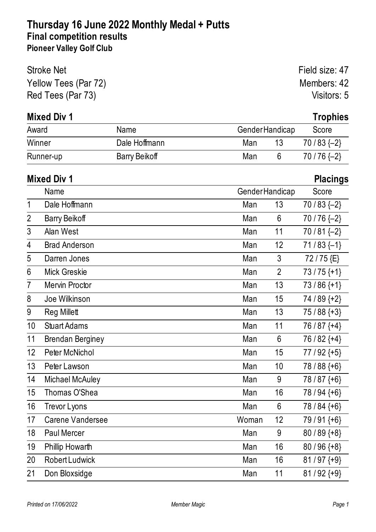| <b>Stroke Net</b>    | Field size: 47 |
|----------------------|----------------|
| Yellow Tees (Par 72) | Members: 42    |
| Red Tees (Par 73)    | Visitors: 5    |

#### **Mixed Div 1 Trophies**

| Award     | Name                 | <b>GenderHandicap</b> | Score        |
|-----------|----------------------|-----------------------|--------------|
| Winner    | Dale Hoffmann        | Man<br>13             | $70/83$ {-2} |
| Runner-up | <b>Barry Beikoff</b> | Man                   | $70/76$ {-2} |

# **Mixed Div 1 Placings** Name GenderHandicap Score 1 Dale Hoffmann **Man 13** 70 / 83 {-2} 2 Barry Beikoff Man 6 70 / 76 {-2} 3 Alan West 10 2 Man 11 70 / 81 {-2} 4 Brad Anderson Man 12 71 / 83 {-1} 5 Darren Jones 1988 1991 120 Man 3 72 / 75 {E} 6 Mick Greskie Man 2 73/75 {+1} 7 Mervin Proctor Man 13 73 / 86 {+1} 8 Joe Wilkinson Man 15 74 / 89 {+2} 9 Reg Millett **Man 13** 75 / 88 {+3} 10 Stuart Adams Man 11 76 / 87 {+4} 11 Brendan Berginey **Man** 6 76 / 82 {+4} 12 Peter McNichol 2008 12 Man 15 77 / 92 {+5} 13 Peter Lawson **Man** 10 78 / 88 {+6} 14 Michael McAuley **Man** 9 78 / 87 {+6} 15 Thomas O'Shea  $\sim$  Man 16 78 / 94  $\{+6\}$ 16 Trevor Lyons 16 Trevor Lyons 16 Trevor Automobile 16 Man 6 78 / 84  $\{+6\}$ 17 Carene Vandersee Woman 12 79/91 {+6} 18 Paul Mercer Man 9 80 / 89 {+8} 19 Phillip Howarth Man 16 80 / 96 {+8} 20 Robert Ludwick Man 16 81/97 {+9} 21 Don Bloxsidge Man 11 81/92 {+9}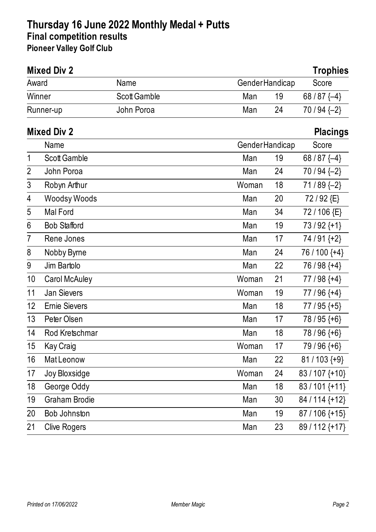|                | <b>Mixed Div 2</b>   |                     |                       |    | <b>Trophies</b>  |
|----------------|----------------------|---------------------|-----------------------|----|------------------|
| Award          |                      | Name                | <b>GenderHandicap</b> |    | Score            |
|                | Winner               | <b>Scott Gamble</b> | Man                   | 19 | 68/87 $\{-4\}$   |
|                | Runner-up            | John Poroa          | Man                   | 24 | $70/94$ $\{-2\}$ |
|                | <b>Mixed Div 2</b>   |                     |                       |    | <b>Placings</b>  |
|                | Name                 |                     | Gender Handicap       |    | Score            |
| 1              | <b>Scott Gamble</b>  |                     | Man                   | 19 | 68/87 $\{-4\}$   |
| $\overline{2}$ | John Poroa           |                     | Man                   | 24 | $70/94$ $\{-2\}$ |
| 3              | Robyn Arthur         |                     | Woman                 | 18 | $71/89$ {-2}     |
| 4              | <b>Woodsy Woods</b>  |                     | Man                   | 20 | 72/92 {E}        |
| 5              | <b>Mal Ford</b>      |                     | Man                   | 34 | 72/106 {E}       |
| 6              | <b>Bob Stafford</b>  |                     | Man                   | 19 | $73/92$ {+1}     |
| 7              | Rene Jones           |                     | Man                   | 17 | $74/91+2$        |
| 8              | Nobby Byrne          |                     | Man                   | 24 | 76 / 100 {+4}    |
| 9              | Jim Bartolo          |                     | Man                   | 22 | $76/98$ {+4}     |
| 10             | <b>Carol McAuley</b> |                     | Woman                 | 21 | $77/98$ {+4}     |
| 11             | <b>Jan Sievers</b>   |                     | Woman                 | 19 | $77/96$ {+4}     |
| 12             | <b>Ernie Sievers</b> |                     | Man                   | 18 | $77/95$ {+5}     |
| 13             | Peter Olsen          |                     | Man                   | 17 | 78 / 95 $\{+6\}$ |
| 14             | Rod Kretschmar       |                     | Man                   | 18 | $78/96$ {+6}     |
| $15\,$         | Kay Craig            |                     | Woman                 | 17 | $79/96$ {+6}     |
| 16             | <b>MatLeonow</b>     |                     | Man                   | 22 | $81/103$ {+9}    |
| 17             | Joy Bloxsidge        |                     | Woman                 | 24 | 83 / 107 {+10}   |
| 18             | George Oddy          |                     | Man                   | 18 | 83/101 {+11}     |
| 19             | <b>Graham Brodie</b> |                     | Man                   | 30 | 84 / 114 {+12}   |
| 20             | Bob Johnston         |                     | Man                   | 19 | $87/106$ {+15}   |
| 21             | <b>Clive Rogers</b>  |                     | Man                   | 23 | 89/112 {+17}     |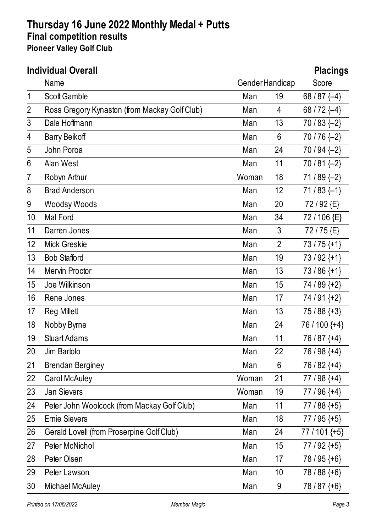|                | <b>Individual Overall</b>                        |                       |                | <b>Placings</b>  |
|----------------|--------------------------------------------------|-----------------------|----------------|------------------|
|                | Name                                             | <b>GenderHandicap</b> |                | Score            |
| 1              | <b>Scott Gamble</b>                              | Man                   | 19             | 68/87 $\{-4\}$   |
| $\overline{2}$ | Ross Gregory Kynaston (from Mackay Golf Club)    | Man                   | 4              | 68 / 72 $\{-4\}$ |
| 3              | Dale Hoffmann                                    | Man                   | 13             | $70/83$ {-2}     |
| 4              | <b>Barry Beikoff</b>                             | Man                   | 6              | 70/76 {-2}       |
| 5              | John Poroa                                       | Man                   | 24             | 70 / 94 $\{-2\}$ |
| 6              | Alan West                                        | Man                   | 11             | $70/81$ {-2}     |
| 7              | Robyn Arthur                                     | Woman                 | 18             | $71/89$ $\{-2\}$ |
| 8              | <b>Brad Anderson</b>                             | Man                   | 12             | $71/83$ {-1}     |
| 9              | <b>Woodsy Woods</b>                              | Man                   | 20             | 72/92 {E}        |
| 10             | Mal Ford                                         | Man                   | 34             | 72/106 {E}       |
| 11             | Darren Jones                                     | Man                   | 3              | 72/75 {E}        |
| 12             | <b>Mick Greskie</b>                              | Man                   | $\overline{2}$ | $73/75$ {+1}     |
| 13             | <b>Bob Stafford</b>                              | Man                   | 19             | $73/92$ {+1}     |
| 14             | Mervin Proctor                                   | Man                   | 13             | $73/86$ {+1}     |
| 15             | Joe Wilkinson                                    | Man                   | 15             | 74 / 89 {+2}     |
| 16             | Rene Jones                                       | Man                   | 17             | 74 / 91 {+2}     |
| 17             | <b>Reg Millett</b>                               | Man                   | 13             | $75/88$ {+3}     |
| 18             | Nobby Byrne                                      | Man                   | 24             | 76 / 100 {+4}    |
| 19             | <b>Stuart Adams</b>                              | Man                   | 11             | $76/87$ {+4}     |
| 20             | Jim Bartolo                                      | Man                   | 22             | 76/98 {+4}       |
| 21             | <b>Brendan Berginey</b>                          | Man                   | 6              | 76 / 82 {+4}     |
| 22             | <b>Carol McAuley</b>                             | Woman                 | 21             | $77/98$ {+4}     |
| 23             | <b>Jan Sievers</b>                               | Woman                 | 19             | $77/96$ {+4}     |
| 24             | Peter John Woolcock (from Mackay Golf Club)      | Man                   | 11             | $77/88$ {+5}     |
| 25             | <b>Ernie Sievers</b>                             | Man                   | 18             | $77/95$ {+5}     |
| 26             | <b>Gerald Lovell (from Proserpine Golf Club)</b> | Man                   | 24             | $77/101$ {+5}    |
| 27             | Peter McNichol                                   | Man                   | 15             | $77/92$ {+5}     |
| 28             | Peter Olsen                                      | Man                   | 17             | $78/95$ {+6}     |
| 29             | Peter Lawson                                     | Man                   | 10             | $78/88$ {+6}     |
| 30             | <b>Michael McAuley</b>                           | Man                   | 9              | $78/87+6$        |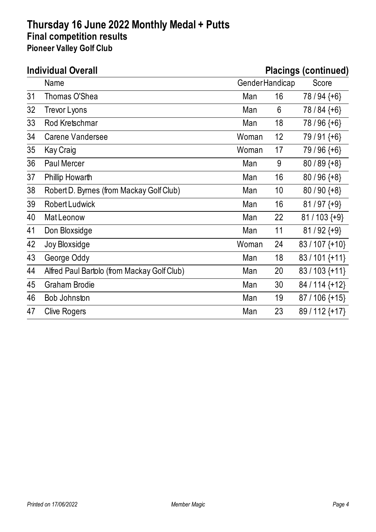| <b>Individual Overall</b> |                                             |                 | <b>Placings (continued)</b> |                  |  |
|---------------------------|---------------------------------------------|-----------------|-----------------------------|------------------|--|
|                           | Name                                        | Gender Handicap |                             | Score            |  |
| 31                        | Thomas O'Shea                               | Man             | 16                          | 78 / 94 $\{+6\}$ |  |
| 32                        | <b>Trevor Lyons</b>                         | Man             | 6                           | 78 / 84 $\{+6\}$ |  |
| 33                        | Rod Kretschmar                              | Man             | 18                          | 78 / 96 $\{+6\}$ |  |
| 34                        | Carene Vandersee                            | Woman           | 12                          | 79/91 {+6}       |  |
| 35                        | Kay Craig                                   | Woman           | 17                          | 79 / 96 $\{+6\}$ |  |
| 36                        | <b>Paul Mercer</b>                          | Man             | 9                           | $80/89$ {+8}     |  |
| 37                        | Phillip Howarth                             | Man             | 16                          | $80/96$ {+8}     |  |
| 38                        | Robert D. Byrnes (from Mackay Golf Club)    | Man             | 10                          | $80/90$ {+8}     |  |
| 39                        | <b>Robert Ludwick</b>                       | Man             | 16                          | $81/97$ {+9}     |  |
| 40                        | Mat Leonow                                  | Man             | 22                          | $81 / 103$ {+9}  |  |
| 41                        | Don Bloxsidge                               | Man             | 11                          | $81/92$ {+9}     |  |
| 42                        | Joy Bloxsidge                               | Woman           | 24                          | 83/107 {+10}     |  |
| 43                        | George Oddy                                 | Man             | 18                          | 83/101 {+11}     |  |
| 44                        | Alfred Paul Bartolo (from Mackay Golf Club) | Man             | 20                          | 83/103 {+11}     |  |
| 45                        | <b>Graham Brodie</b>                        | Man             | 30                          | 84 / 114 {+12}   |  |
| 46                        | Bob Johnston                                | Man             | 19                          | $87/106$ {+15}   |  |
| 47                        | <b>Clive Rogers</b>                         | Man             | 23                          | 89/112 {+17}     |  |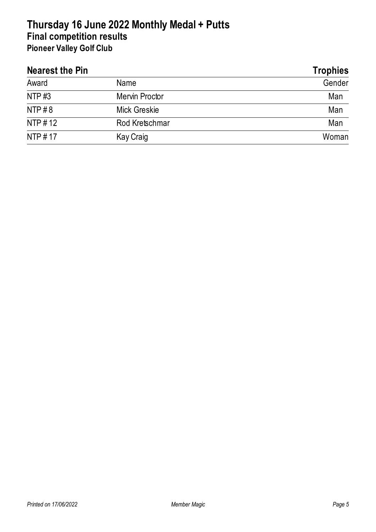| <b>Nearest the Pin</b> |                       | <b>Trophies</b> |
|------------------------|-----------------------|-----------------|
| Award                  | Name                  | Gender          |
| <b>NTP#3</b>           | <b>Mervin Proctor</b> | Man             |
| NTP# $8$               | <b>Mick Greskie</b>   | Man             |
| NTP #12                | Rod Kretschmar        | Man             |
| NTP #17                | <b>Kay Craig</b>      | Woman           |